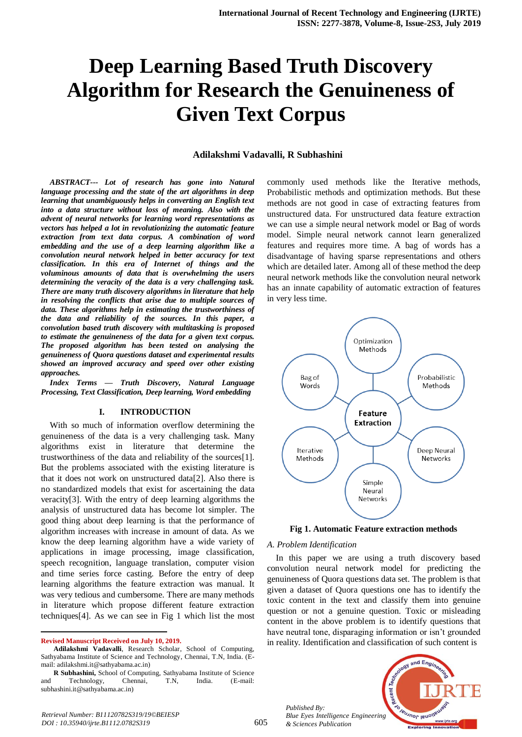# **Deep Learning Based Truth Discovery Algorithm for Research the Genuineness of Given Text Corpus**

#### **Adilakshmi Vadavalli, R Subhashini**

*ABSTRACT--- Lot of research has gone into Natural language processing and the state of the art algorithms in deep learning that unambiguously helps in converting an English text into a data structure without loss of meaning. Also with the advent of neural networks for learning word representations as vectors has helped a lot in revolutionizing the automatic feature extraction from text data corpus. A combination of word embedding and the use of a deep learning algorithm like a convolution neural network helped in better accuracy for text classification. In this era of Internet of things and the voluminous amounts of data that is overwhelming the users determining the veracity of the data is a very challenging task. There are many truth discovery algorithms in literature that help in resolving the conflicts that arise due to multiple sources of data. These algorithms help in estimating the trustworthiness of the data and reliability of the sources. In this paper, a convolution based truth discovery with multitasking is proposed to estimate the genuineness of the data for a given text corpus. The proposed algorithm has been tested on analysing the genuineness of Quora questions dataset and experimental results showed an improved accuracy and speed over other existing approaches.* 

*Index Terms — Truth Discovery, Natural Language Processing, Text Classification, Deep learning, Word embedding*

#### **I. INTRODUCTION**

With so much of information overflow determining the genuineness of the data is a very challenging task. Many algorithms exist in literature that determine the trustworthiness of the data and reliability of the sources[1]. But the problems associated with the existing literature is that it does not work on unstructured data[2]. Also there is no standardized models that exist for ascertaining the data veracity[3]. With the entry of deep learning algorithms the analysis of unstructured data has become lot simpler. The good thing about deep learning is that the performance of algorithm increases with increase in amount of data. As we know the deep learning algorithm have a wide variety of applications in image processing, image classification, speech recognition, language translation, computer vision and time series force casting. Before the entry of deep learning algorithms the feature extraction was manual. It was very tedious and cumbersome. There are many methods in literature which propose different feature extraction techniques[4]. As we can see in Fig 1 which list the most

**Revised Manuscript Received on July 10, 2019.**

 $\overline{a}$ 

commonly used methods like the Iterative methods, Probabilistic methods and optimization methods. But these methods are not good in case of extracting features from unstructured data. For unstructured data feature extraction we can use a simple neural network model or Bag of words model. Simple neural network cannot learn generalized features and requires more time. A bag of words has a disadvantage of having sparse representations and others which are detailed later. Among all of these method the deep neural network methods like the convolution neural network has an innate capability of automatic extraction of features in very less time.





#### *A. Problem Identification*

In this paper we are using a truth discovery based convolution neural network model for predicting the genuineness of Quora questions data set. The problem is that given a dataset of Quora questions one has to identify the toxic content in the text and classify them into genuine question or not a genuine question. Toxic or misleading content in the above problem is to identify questions that have neutral tone, disparaging information or isn't grounded in reality. Identification and classification of such content is



**Adilakshmi Vadavalli**, Research Scholar, School of Computing, Sathyabama Institute of Science and Technology, Chennai, T.N, India. (Email: adilakshmi.it@sathyabama.ac.in)

**R Subhashini,** School of Computing, Sathyabama Institute of Science and Technology, Chennai, T.N, India. (E-mail: subhashini.it@sathyabama.ac.in)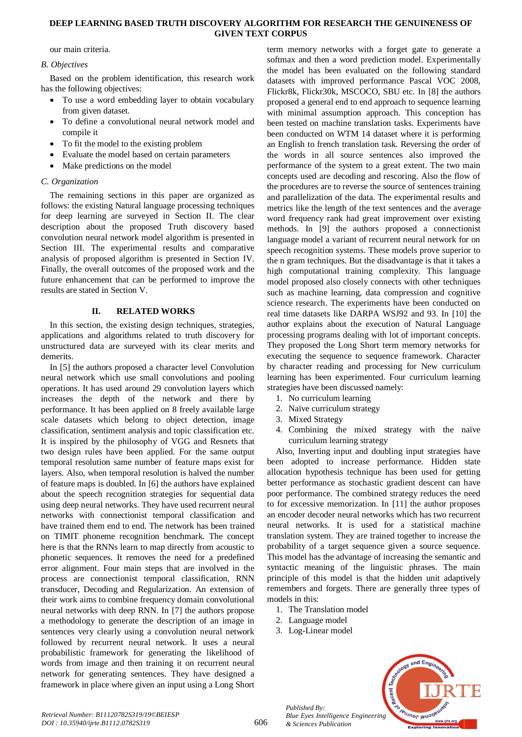## **DEEP LEARNING BASED TRUTH DISCOVERY ALGORITHM FOR RESEARCH THE GENUINENESS OF GIVEN TEXT CORPUS**

our main criteria.

## *B. Objectives*

Based on the problem identification, this research work has the following objectives:

- To use a word embedding layer to obtain vocabulary from given dataset.
- To define a convolutional neural network model and compile it
- To fit the model to the existing problem
- Evaluate the model based on certain parameters
- Make predictions on the model

# *C. Organization*

The remaining sections in this paper are organized as follows: the existing Natural language processing techniques for deep learning are surveyed in Section II. The clear description about the proposed Truth discovery based convolution neural network model algorithm is presented in Section III. The experimental results and comparative analysis of proposed algorithm is presented in Section IV. Finally, the overall outcomes of the proposed work and the future enhancement that can be performed to improve the results are stated in Section V.

## **II. RELATED WORKS**

In this section, the existing design techniques, strategies, applications and algorithms related to truth discovery for unstructured data are surveyed with its clear merits and demerits.

In [5] the authors proposed a character level Convolution neural network which use small convolutions and pooling operations. It has used around 29 convolution layers which increases the depth of the network and there by performance. It has been applied on 8 freely available large scale datasets which belong to object detection, image classification, sentiment analysis and topic classification etc. It is inspired by the philosophy of VGG and Resnets that two design rules have been applied. For the same output temporal resolution same number of feature maps exist for layers. Also, when temporal resolution is halved the number of feature maps is doubled. In [6] the authors have explained about the speech recognition strategies for sequential data using deep neural networks. They have used recurrent neural networks with connectionist temporal classification and have trained them end to end. The network has been trained on TIMIT phoneme recognition benchmark. The concept here is that the RNNs learn to map directly from acoustic to phonetic sequences. It removes the need for a predefined error alignment. Four main steps that are involved in the process are connectionist temporal classification, RNN transducer, Decoding and Regularization. An extension of their work aims to combine frequency domain convolutional neural networks with deep RNN. In [7] the authors propose a methodology to generate the description of an image in sentences very clearly using a convolution neural network followed by recurrent neural network. It uses a neural probabilistic framework for generating the likelihood of words from image and then training it on recurrent neural network for generating sentences. They have designed a framework in place where given an input using a Long Short

term memory networks with a forget gate to generate a softmax and then a word prediction model. Experimentally the model has been evaluated on the following standard datasets with improved performance Pascal VOC 2008, Flickr8k, Flickr30k, MSCOCO, SBU etc. In [8] the authors proposed a general end to end approach to sequence learning with minimal assumption approach. This conception has been tested on machine translation tasks. Experiments have been conducted on WTM 14 dataset where it is performing an English to french translation task. Reversing the order of the words in all source sentences also improved the performance of the system to a great extent. The two main concepts used are decoding and rescoring. Also the flow of the procedures are to reverse the source of sentences training and parallelization of the data. The experimental results and metrics like the length of the text sentences and the average word frequency rank had great improvement over existing methods. In [9] the authors proposed a connectionist language model a variant of recurrent neural network for on speech recognition systems. These models prove superior to the n gram techniques. But the disadvantage is that it takes a high computational training complexity. This language model proposed also closely connects with other techniques such as machine learning, data compression and cognitive science research. The experiments have been conducted on real time datasets like DARPA WSJ92 and 93. In [10] the author explains about the execution of Natural Language processing programs dealing with lot of important concepts. They proposed the Long Short term memory networks for executing the sequence to sequence framework. Character by character reading and processing for New curriculum learning has been experimented. Four curriculum learning strategies have been discussed namely:

- 1. No curriculum learning
- 2. Naïve curriculum strategy
- 3. Mixed Strategy
- 4. Combining the mixed strategy with the naïve curriculum learning strategy

Also, Inverting input and doubling input strategies have been adopted to increase performance. Hidden state allocation hypothesis technique has been used for getting better performance as stochastic gradient descent can have poor performance. The combined strategy reduces the need to for excessive memorization. In [11] the author proposes an encoder decoder neural networks which has two recurrent neural networks. It is used for a statistical machine translation system. They are trained together to increase the probability of a target sequence given a source sequence. This model has the advantage of increasing the semantic and syntactic meaning of the linguistic phrases. The main principle of this model is that the hidden unit adaptively remembers and forgets. There are generally three types of models in this:

- 1. The Translation model
- 2. Language model

*Published By:*

*& Sciences Publication* 

3. Log-Linear model

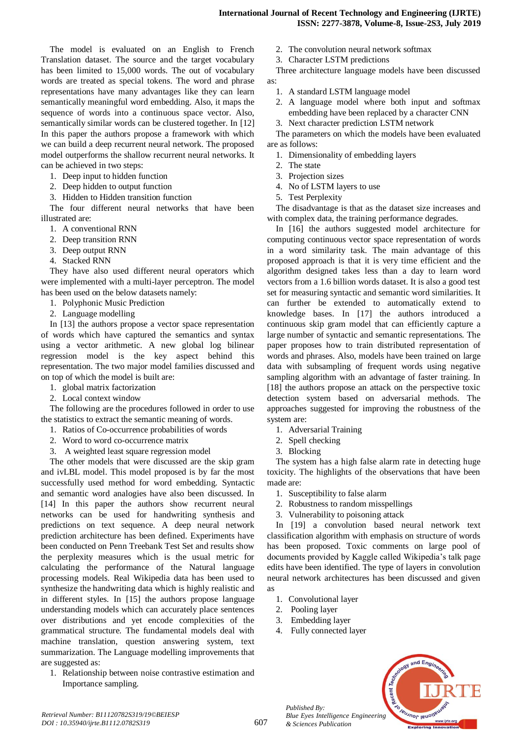The model is evaluated on an English to French Translation dataset. The source and the target vocabulary has been limited to 15,000 words. The out of vocabulary words are treated as special tokens. The word and phrase representations have many advantages like they can learn semantically meaningful word embedding. Also, it maps the sequence of words into a continuous space vector. Also, semantically similar words can be clustered together. In [12] In this paper the authors propose a framework with which we can build a deep recurrent neural network. The proposed model outperforms the shallow recurrent neural networks. It can be achieved in two steps:

- 1. Deep input to hidden function
- 2. Deep hidden to output function
- 3. Hidden to Hidden transition function

The four different neural networks that have been illustrated are:

- 1. A conventional RNN
- 2. Deep transition RNN
- 3. Deep output RNN
- 4. Stacked RNN

They have also used different neural operators which were implemented with a multi-layer perceptron. The model has been used on the below datasets namely:

- 1. Polyphonic Music Prediction
- 2. Language modelling

In [13] the authors propose a vector space representation of words which have captured the semantics and syntax using a vector arithmetic. A new global log bilinear regression model is the key aspect behind this representation. The two major model families discussed and on top of which the model is built are:

- 1. global matrix factorization
- 2. Local context window

The following are the procedures followed in order to use the statistics to extract the semantic meaning of words.

- 1. Ratios of Co-occurrence probabilities of words
- 2. Word to word co-occurrence matrix
- 3. A weighted least square regression model

The other models that were discussed are the skip gram and ivLBL model. This model proposed is by far the most successfully used method for word embedding. Syntactic and semantic word analogies have also been discussed. In [14] In this paper the authors show recurrent neural networks can be used for handwriting synthesis and predictions on text sequence. A deep neural network prediction architecture has been defined. Experiments have been conducted on Penn Treebank Test Set and results show the perplexity measures which is the usual metric for calculating the performance of the Natural language processing models. Real Wikipedia data has been used to synthesize the handwriting data which is highly realistic and in different styles. In [15] the authors propose language understanding models which can accurately place sentences over distributions and yet encode complexities of the grammatical structure. The fundamental models deal with machine translation, question answering system, text summarization. The Language modelling improvements that are suggested as:

1. Relationship between noise contrastive estimation and Importance sampling.

- 2. The convolution neural network softmax
- 3. Character LSTM predictions

Three architecture language models have been discussed as:

- 1. A standard LSTM language model
- 2. A language model where both input and softmax embedding have been replaced by a character CNN
- 3. Next character prediction LSTM network

The parameters on which the models have been evaluated are as follows:

- 1. Dimensionality of embedding layers
- 2. The state
- 3. Projection sizes
- 4. No of LSTM layers to use
- 5. Test Perplexity

The disadvantage is that as the dataset size increases and with complex data, the training performance degrades.

In [16] the authors suggested model architecture for computing continuous vector space representation of words in a word similarity task. The main advantage of this proposed approach is that it is very time efficient and the algorithm designed takes less than a day to learn word vectors from a 1.6 billion words dataset. It is also a good test set for measuring syntactic and semantic word similarities. It can further be extended to automatically extend to knowledge bases. In [17] the authors introduced a continuous skip gram model that can efficiently capture a large number of syntactic and semantic representations. The paper proposes how to train distributed representation of words and phrases. Also, models have been trained on large data with subsampling of frequent words using negative sampling algorithm with an advantage of faster training. In [18] the authors propose an attack on the perspective toxic detection system based on adversarial methods. The approaches suggested for improving the robustness of the system are:

- 1. Adversarial Training
- 2. Spell checking
- 3. Blocking

The system has a high false alarm rate in detecting huge toxicity. The highlights of the observations that have been made are:

- 1. Susceptibility to false alarm
- 2. Robustness to random misspellings
- 3. Vulnerability to poisoning attack

In [19] a convolution based neural network text classification algorithm with emphasis on structure of words has been proposed. Toxic comments on large pool of documents provided by Kaggle called Wikipedia's talk page edits have been identified. The type of layers in convolution neural network architectures has been discussed and given as

- 1. Convolutional layer
- 2. Pooling layer

*Published By:*

*& Sciences Publication* 

- 3. Embedding layer
- 4. Fully connected layer

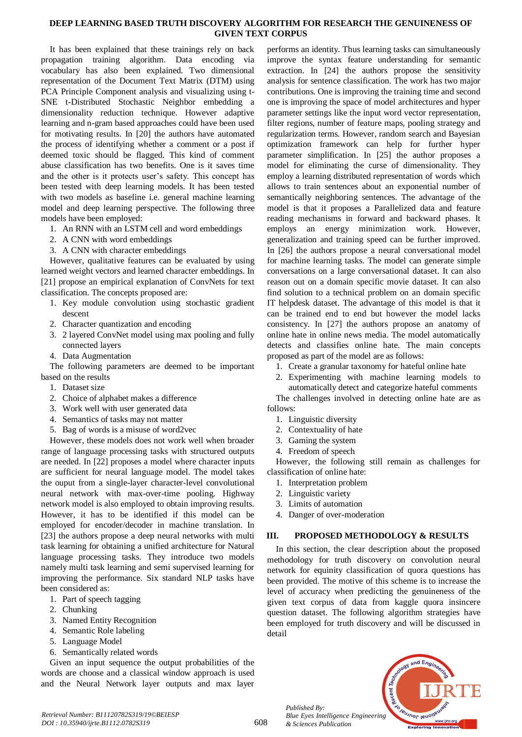## **DEEP LEARNING BASED TRUTH DISCOVERY ALGORITHM FOR RESEARCH THE GENUINENESS OF GIVEN TEXT CORPUS**

It has been explained that these trainings rely on back propagation training algorithm. Data encoding via vocabulary has also been explained. Two dimensional representation of the Document Text Matrix (DTM) using PCA Principle Component analysis and visualizing using t-SNE t-Distributed Stochastic Neighbor embedding a dimensionality reduction technique. However adaptive learning and n-gram based approaches could have been used for motivating results. In [20] the authors have automated the process of identifying whether a comment or a post if deemed toxic should be flagged. This kind of comment abuse classification has two benefits. One is it saves time and the other is it protects user's safety. This concept has been tested with deep learning models. It has been tested with two models as baseline i.e. general machine learning model and deep learning perspective. The following three models have been employed:

- 1. An RNN with an LSTM cell and word embeddings
- 2. A CNN with word embeddings
- 3. A CNN with character embeddings

However, qualitative features can be evaluated by using learned weight vectors and learned character embeddings. In [21] propose an empirical explanation of ConvNets for text classification. The concepts proposed are:

- 1. Key module convolution using stochastic gradient descent
- 2. Character quantization and encoding
- 3. 2 layered ConvNet model using max pooling and fully connected layers
- 4. Data Augmentation

The following parameters are deemed to be important based on the results

- 1. Dataset size
- 2. Choice of alphabet makes a difference
- 3. Work well with user generated data
- 4. Semantics of tasks may not matter
- 5. Bag of words is a misuse of word2vec

However, these models does not work well when broader range of language processing tasks with structured outputs are needed. In [22] proposes a model where character inputs are sufficient for neural language model. The model takes the ouput from a single-layer character-level convolutional neural network with max-over-time pooling. Highway network model is also employed to obtain improving results. However, it has to be identified if this model can be employed for encoder/decoder in machine translation. In [23] the authors propose a deep neural networks with multitask learning for obtaining a unified architecture for Natural language processing tasks. They introduce two models namely multi task learning and semi supervised learning for improving the performance. Six standard NLP tasks have been considered as:

- 1. Part of speech tagging
- 2. Chunking
- 3. Named Entity Recognition
- 4. Semantic Role labeling
- 5. Language Model
- 6. Semantically related words

Given an input sequence the output probabilities of the words are choose and a classical window approach is used and the Neural Network layer outputs and max layer

performs an identity. Thus learning tasks can simultaneously improve the syntax feature understanding for semantic extraction. In [24] the authors propose the sensitivity analysis for sentence classification. The work has two major contributions. One is improving the training time and second one is improving the space of model architectures and hyper parameter settings like the input word vector representation, filter regions, number of feature maps, pooling strategy and regularization terms. However, random search and Bayesian optimization framework can help for further hyper parameter simplification. In [25] the author proposes a model for eliminating the curse of dimensionality. They employ a learning distributed representation of words which allows to train sentences about an exponential number of semantically neighboring sentences. The advantage of the model is that it proposes a Parallelized data and feature reading mechanisms in forward and backward phases. It employs an energy minimization work. However, generalization and training speed can be further improved. In [26] the authors propose a neural conversational model for machine learning tasks. The model can generate simple conversations on a large conversational dataset. It can also reason out on a domain specific movie dataset. It can also find solution to a technical problem on an domain specific IT helpdesk dataset. The advantage of this model is that it can be trained end to end but however the model lacks consistency. In [27] the authors propose an anatomy of online hate in online news media. The model automatically detects and classifies online hate. The main concepts proposed as part of the model are as follows:

- 1. Create a granular taxonomy for hateful online hate
- 2. Experimenting with machine learning models to automatically detect and categorize hateful comments

The challenges involved in detecting online hate are as follows:

- 1. Linguistic diversity
- 2. Contextuality of hate
- 3. Gaming the system
- 4. Freedom of speech

However, the following still remain as challenges for classification of online hate:

- 1. Interpretation problem
- 2. Linguistic variety
- 3. Limits of automation
- 4. Danger of over-moderation

## **III. PROPOSED METHODOLOGY & RESULTS**

In this section, the clear description about the proposed methodology for truth discovery on convolution neural network for equinity classification of quora questions has been provided. The motive of this scheme is to increase the level of accuracy when predicting the genuineness of the given text corpus of data from kaggle quora insincere question dataset. The following algorithm strategies have been employed for truth discovery and will be discussed in detail

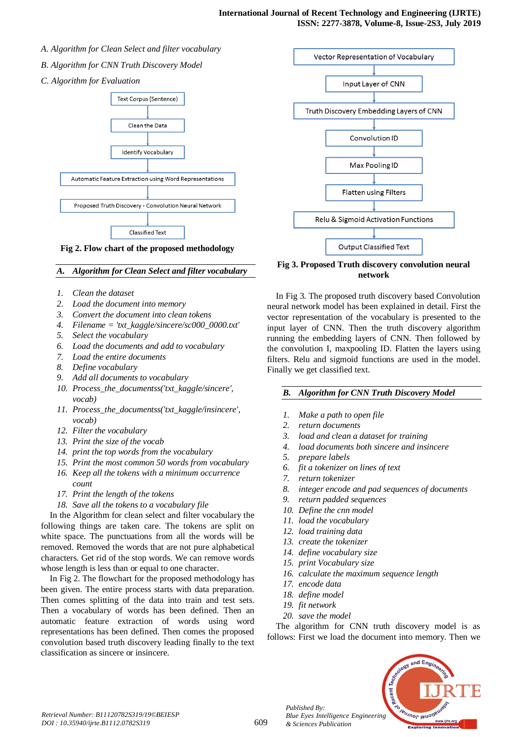- *A. Algorithm for Clean Select and filter vocabulary*
- *B. Algorithm for CNN Truth Discovery Model*
- *C. Algorithm for Evaluation*





#### *A. Algorithm for Clean Select and filter vocabulary*

- *1. Clean the dataset*
- *2. Load the document into memory*
- *3. Convert the document into clean tokens*
- *4. Filename = 'txt\_kaggle/sincere/sc000\_0000.txt'*
- *5. Select the vocabulary*
- *6. Load the documents and add to vocabulary*
- *7. Load the entire documents*
- *8. Define vocabulary*
- *9. Add all documents to vocabulary*
- *10. Process\_the\_documentss('txt\_kaggle/sincere', vocab)*
- *11. Process\_the\_documentss('txt\_kaggle/insincere', vocab)*
- *12. Filter the vocabulary*
- *13. Print the size of the vocab*
- *14. print the top words from the vocabulary*
- *15. Print the most common 50 words from vocabulary*
- *16. Keep all the tokens with a minimum occurrence count*
- *17. Print the length of the tokens*
- *18. Save all the tokens to a vocabulary file*

In the Algorithm for clean select and filter vocabulary the following things are taken care. The tokens are split on white space. The punctuations from all the words will be removed. Removed the words that are not pure alphabetical characters. Get rid of the stop words. We can remove words whose length is less than or equal to one character.

In Fig 2. The flowchart for the proposed methodology has been given. The entire process starts with data preparation. Then comes splitting of the data into train and test sets. Then a vocabulary of words has been defined. Then an automatic feature extraction of words using word representations has been defined. Then comes the proposed convolution based truth discovery leading finally to the text classification as sincere or insincere.



**Fig 3. Proposed Truth discovery convolution neural network**

In Fig 3. The proposed truth discovery based Convolution neural network model has been explained in detail. First the vector representation of the vocabulary is presented to the input layer of CNN. Then the truth discovery algorithm running the embedding layers of CNN. Then followed by the convolution I, maxpooling ID. Flatten the layers using filters. Relu and sigmoid functions are used in the model. Finally we get classified text.

## *B. Algorithm for CNN Truth Discovery Model*

- *1. Make a path to open file*
- *2. return documents*
- *3. load and clean a dataset for training*
- *4. load documents both sincere and insincere*
- *5. prepare labels*
- *6. fit a tokenizer on lines of text*
- *7. return tokenizer*
- *8. integer encode and pad sequences of documents*
- *9. return padded sequences*
- *10. Define the cnn model*
- *11. load the vocabulary*
- *12. load training data*
- *13. create the tokenizer*
- *14. define vocabulary size*
- *15. print Vocabulary size*
- *16. calculate the maximum sequence length*
- *17. encode data*
- *18. define model*
- *19. fit network*
- *20. save the model*

The algorithm for CNN truth discovery model is as follows: First we load the document into memory. Then we

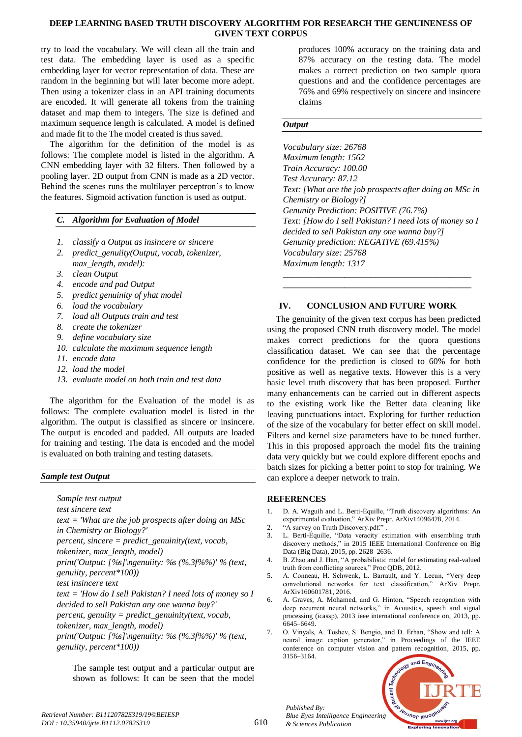## **DEEP LEARNING BASED TRUTH DISCOVERY ALGORITHM FOR RESEARCH THE GENUINENESS OF GIVEN TEXT CORPUS**

try to load the vocabulary. We will clean all the train and test data. The embedding layer is used as a specific embedding layer for vector representation of data. These are random in the beginning but will later become more adept. Then using a tokenizer class in an API training documents are encoded. It will generate all tokens from the training dataset and map them to integers. The size is defined and maximum sequence length is calculated. A model is defined and made fit to the The model created is thus saved.

The algorithm for the definition of the model is as follows: The complete model is listed in the algorithm. A CNN embedding layer with 32 filters. Then followed by a pooling layer. 2D output from CNN is made as a 2D vector. Behind the scenes runs the multilayer perceptron's to know the features. Sigmoid activation function is used as output.

## *C. Algorithm for Evaluation of Model*

- *1. classify a Output as insincere or sincere*
- *2. predict\_genuiity(Output, vocab, tokenizer, max\_length, model):*
- *3. clean Output*
- *4. encode and pad Output*
- *5. predict genuinity of yhat model*
- *6. load the vocabulary*
- *7. load all Outputs train and test*
- *8. create the tokenizer*
- *9. define vocabulary size*
- *10. calculate the maximum sequence length*
- *11. encode data*
- *12. load the model*
- *13. evaluate model on both train and test data*

The algorithm for the Evaluation of the model is as follows: The complete evaluation model is listed in the algorithm. The output is classified as sincere or insincere. The output is encoded and padded. All outputs are loaded for training and testing. The data is encoded and the model is evaluated on both training and testing datasets.

#### *Sample test Output*

*Sample test output*

*test sincere text*

*text = 'What are the job prospects after doing an MSc in Chemistry or Biology?'*

*percent, sincere = predict\_genuinity(text, vocab,* 

```
tokenizer, max_length, model)
```
*print('Output: [%s]\ngenuiity: %s (%.3f%%)' % (text,* 

*genuiity, percent\*100))*

*test insincere text*

*text = 'How do I sell Pakistan? I need lots of money so I decided to sell Pakistan any one wanna buy?'*

*percent, genuiity = predict\_genuinity(text, vocab,* 

*tokenizer, max\_length, model)*

*print('Output: [%s]\ngenuiity: %s (%.3f%%)' % (text, genuiity, percent\*100))*

The sample test output and a particular output are shown as follows: It can be seen that the model

produces 100% accuracy on the training data and 87% accuracy on the testing data. The model makes a correct prediction on two sample quora questions and and the confidence percentages are 76% and 69% respectively on sincere and insincere claims

## *Output*

*Vocabulary size: 26768 Maximum length: 1562 Train Accuracy: 100.00 Test Accuracy: 87.12 Text: [What are the job prospects after doing an MSc in Chemistry or Biology?] Genunity Prediction: POSITIVE (76.7%) Text: [How do I sell Pakistan? I need lots of money so I decided to sell Pakistan any one wanna buy?] Genunity prediction: NEGATIVE (69.415%) Vocabulary size: 25768 Maximum length: 1317 \_\_\_\_\_\_\_\_\_\_\_\_\_\_\_\_\_\_\_\_\_\_\_\_\_\_\_\_\_\_\_\_\_\_\_\_\_\_\_\_\_\_\_*

# **IV. CONCLUSION AND FUTURE WORK**

*\_\_\_\_\_\_\_\_\_\_\_\_\_\_\_\_\_\_\_\_\_\_\_\_\_\_\_\_\_\_\_\_\_\_\_\_\_\_\_\_\_\_\_*

The genuinity of the given text corpus has been predicted using the proposed CNN truth discovery model. The model makes correct predictions for the quora questions classification dataset. We can see that the percentage confidence for the prediction is closed to 60% for both positive as well as negative texts. However this is a very basic level truth discovery that has been proposed. Further many enhancements can be carried out in different aspects to the existing work like the Better data cleaning like leaving punctuations intact. Exploring for further reduction of the size of the vocabulary for better effect on skill model. Filters and kernel size parameters have to be tuned further. This in this proposed approach the model fits the training data very quickly but we could explore different epochs and batch sizes for picking a better point to stop for training. We can explore a deeper network to train.

## **REFERENCES**

- 1. D. A. Waguih and L. Berti-Equille, "Truth discovery algorithms: An experimental evaluation," ArXiv Prepr. ArXiv14096428, 2014.
- 2. "A survey on Truth Discovery.pdf."
- 3. L. Berti-Équille, "Data veracity estimation with ensembling truth discovery methods," in 2015 IEEE International Conference on Big Data (Big Data), 2015, pp. 2628–2636.
- 4. B. Zhao and J. Han, "A probabilistic model for estimating real-valued truth from conflicting sources," Proc QDB, 2012.
- 5. A. Conneau, H. Schwenk, L. Barrault, and Y. Lecun, "Very deep convolutional networks for text classification," ArXiv Prepr. ArXiv160601781, 2016.
- 6. A. Graves, A. Mohamed, and G. Hinton, "Speech recognition with deep recurrent neural networks," in Acoustics, speech and signal processing (icassp), 2013 ieee international conference on, 2013, pp. 6645–6649.
- 7. O. Vinyals, A. Toshev, S. Bengio, and D. Erhan, "Show and tell: A neural image caption generator," in Proceedings of the IEEE conference on computer vision and pattern recognition, 2015, pp. 3156–3164.



*Retrieval Number: B11120782S319/19©BEIESP DOI : 10.35940/ijrte.B1112.0782S319*